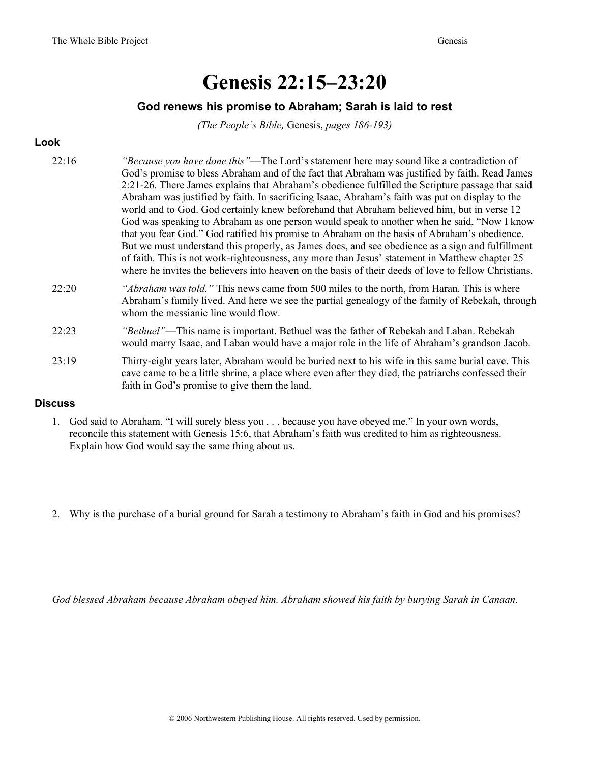# Genesis 22:15–23:20

### God renews his promise to Abraham; Sarah is laid to rest

(The People's Bible, Genesis, pages 186-193)

## Look

| 22:16 | "Because you have done this"—The Lord's statement here may sound like a contradiction of<br>God's promise to bless Abraham and of the fact that Abraham was justified by faith. Read James<br>2:21-26. There James explains that Abraham's obedience fulfilled the Scripture passage that said<br>Abraham was justified by faith. In sacrificing Isaac, Abraham's faith was put on display to the<br>world and to God. God certainly knew beforehand that Abraham believed him, but in verse 12<br>God was speaking to Abraham as one person would speak to another when he said, "Now I know<br>that you fear God." God ratified his promise to Abraham on the basis of Abraham's obedience.<br>But we must understand this properly, as James does, and see obedience as a sign and fulfillment<br>of faith. This is not work-righteousness, any more than Jesus' statement in Matthew chapter 25<br>where he invites the believers into heaven on the basis of their deeds of love to fellow Christians. |
|-------|-------------------------------------------------------------------------------------------------------------------------------------------------------------------------------------------------------------------------------------------------------------------------------------------------------------------------------------------------------------------------------------------------------------------------------------------------------------------------------------------------------------------------------------------------------------------------------------------------------------------------------------------------------------------------------------------------------------------------------------------------------------------------------------------------------------------------------------------------------------------------------------------------------------------------------------------------------------------------------------------------------------|
| 22:20 | "Abraham was told." This news came from 500 miles to the north, from Haran. This is where<br>Abraham's family lived. And here we see the partial genealogy of the family of Rebekah, through<br>whom the messianic line would flow.                                                                                                                                                                                                                                                                                                                                                                                                                                                                                                                                                                                                                                                                                                                                                                         |
| 22:23 | "Bethuel"—This name is important. Bethuel was the father of Rebekah and Laban. Rebekah<br>would marry Isaac, and Laban would have a major role in the life of Abraham's grandson Jacob.                                                                                                                                                                                                                                                                                                                                                                                                                                                                                                                                                                                                                                                                                                                                                                                                                     |
| 23:19 | Thirty-eight years later, Abraham would be buried next to his wife in this same burial cave. This<br>cave came to be a little shrine, a place where even after they died, the patriarchs confessed their<br>faith in God's promise to give them the land.                                                                                                                                                                                                                                                                                                                                                                                                                                                                                                                                                                                                                                                                                                                                                   |

### **Discuss**

- 1. God said to Abraham, "I will surely bless you . . . because you have obeyed me." In your own words, reconcile this statement with Genesis 15:6, that Abraham's faith was credited to him as righteousness. Explain how God would say the same thing about us.
- 2. Why is the purchase of a burial ground for Sarah a testimony to Abraham's faith in God and his promises?

God blessed Abraham because Abraham obeyed him. Abraham showed his faith by burying Sarah in Canaan.